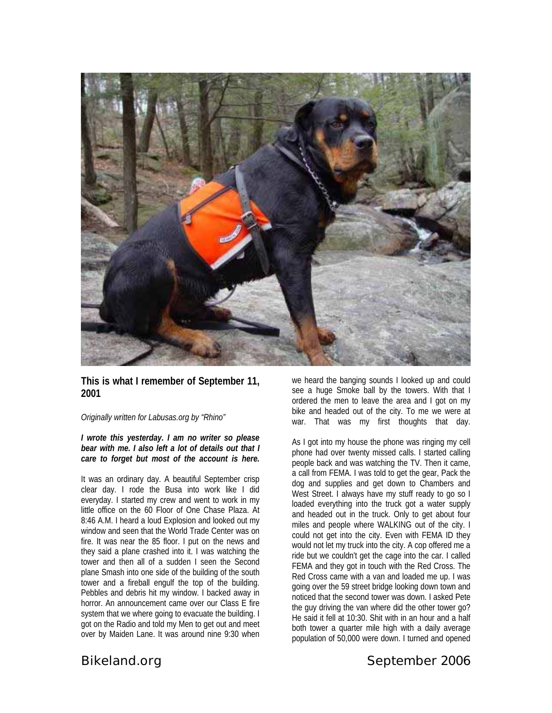

### **This is what I remember of September 11, 2001**

*Originally written for Labusas.org by "Rhino"* 

*I wrote this yesterday. I am no writer so please bear with me. I also left a lot of details out that I care to forget but most of the account is here.* 

It was an ordinary day. A beautiful September crisp clear day. I rode the Busa into work like I did everyday. I started my crew and went to work in my little office on the 60 Floor of One Chase Plaza. At 8:46 A.M. I heard a loud Explosion and looked out my window and seen that the World Trade Center was on fire. It was near the 85 floor. I put on the news and they said a plane crashed into it. I was watching the tower and then all of a sudden I seen the Second plane Smash into one side of the building of the south tower and a fireball engulf the top of the building. Pebbles and debris hit my window. I backed away in horror. An announcement came over our Class E fire system that we where going to evacuate the building. I got on the Radio and told my Men to get out and meet over by Maiden Lane. It was around nine 9:30 when

we heard the banging sounds I looked up and could see a huge Smoke ball by the towers. With that I ordered the men to leave the area and I got on my bike and headed out of the city. To me we were at war. That was my first thoughts that day.

As I got into my house the phone was ringing my cell phone had over twenty missed calls. I started calling people back and was watching the TV. Then it came, a call from FEMA. I was told to get the gear, Pack the dog and supplies and get down to Chambers and West Street. I always have my stuff ready to go so I loaded everything into the truck got a water supply and headed out in the truck. Only to get about four miles and people where WALKING out of the city. I could not get into the city. Even with FEMA ID they would not let my truck into the city. A cop offered me a ride but we couldn't get the cage into the car. I called FEMA and they got in touch with the Red Cross. The Red Cross came with a van and loaded me up. I was going over the 59 street bridge looking down town and noticed that the second tower was down. I asked Pete the guy driving the van where did the other tower go? He said it fell at 10:30. Shit with in an hour and a half both tower a quarter mile high with a daily average population of 50,000 were down. I turned and opened

# *Bikeland.org* September 2006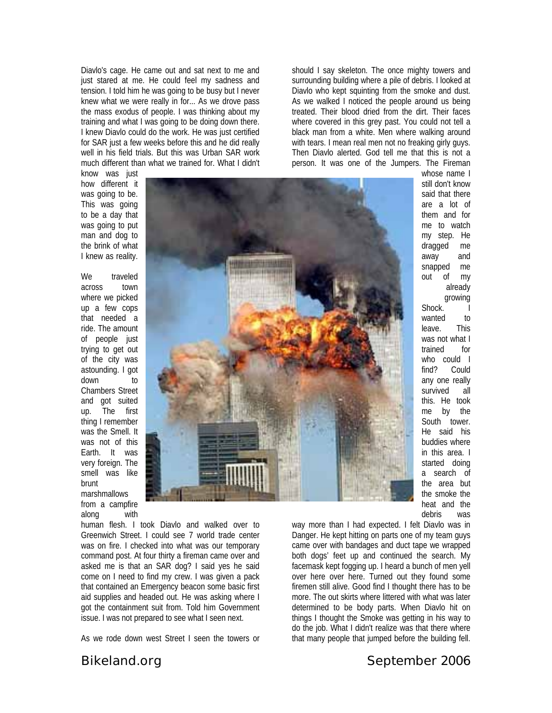Diavlo's cage. He came out and sat next to me and just stared at me. He could feel my sadness and tension. I told him he was going to be busy but I never knew what we were really in for... As we drove pass the mass exodus of people. I was thinking about my training and what I was going to be doing down there. I knew Diavlo could do the work. He was just certified for SAR just a few weeks before this and he did really well in his field trials. But this was Urban SAR work much different than what we trained for. What I didn't

know was just how different it was going to be. This was going to be a day that was going to put man and dog to the brink of what I knew as reality.

We traveled across town where we picked up a few cops that needed a ride. The amount of people just trying to get out of the city was astounding. I got down to Chambers Street and got suited up. The first thing I remember was the Smell. It was not of this Earth. It was very foreign. The smell was like brunt marshmallows from a campfire along with



human flesh. I took Diavlo and walked over to Greenwich Street. I could see 7 world trade center was on fire. I checked into what was our temporary command post. At four thirty a fireman came over and asked me is that an SAR dog? I said yes he said come on I need to find my crew. I was given a pack that contained an Emergency beacon some basic first aid supplies and headed out. He was asking where I got the containment suit from. Told him Government issue. I was not prepared to see what I seen next.

As we rode down west Street I seen the towers or

should I say skeleton. The once mighty towers and surrounding building where a pile of debris. I looked at Diavlo who kept squinting from the smoke and dust. As we walked I noticed the people around us being treated. Their blood dried from the dirt. Their faces where covered in this grey past. You could not tell a black man from a white. Men where walking around with tears. I mean real men not no freaking girly guys. Then Diavlo alerted. God tell me that this is not a person. It was one of the Jumpers. The Fireman

> whose name I still don't know said that there are a lot of them and for me to watch my step. He dragged me away and snapped me out of my already growing Shock. I wanted to leave. This was not what I trained for who could I find? Could any one really survived all this. He took me by the South tower. He said his buddies where in this area. I started doing a search of the area but the smoke the heat and the debris was

way more than I had expected. I felt Diavlo was in Danger. He kept hitting on parts one of my team guys came over with bandages and duct tape we wrapped both dogs' feet up and continued the search. My facemask kept fogging up. I heard a bunch of men yell over here over here. Turned out they found some firemen still alive. Good find I thought there has to be more. The out skirts where littered with what was later determined to be body parts. When Diavlo hit on things I thought the Smoke was getting in his way to do the job. What I didn't realize was that there where that many people that jumped before the building fell.

# *Bikeland.org* September 2006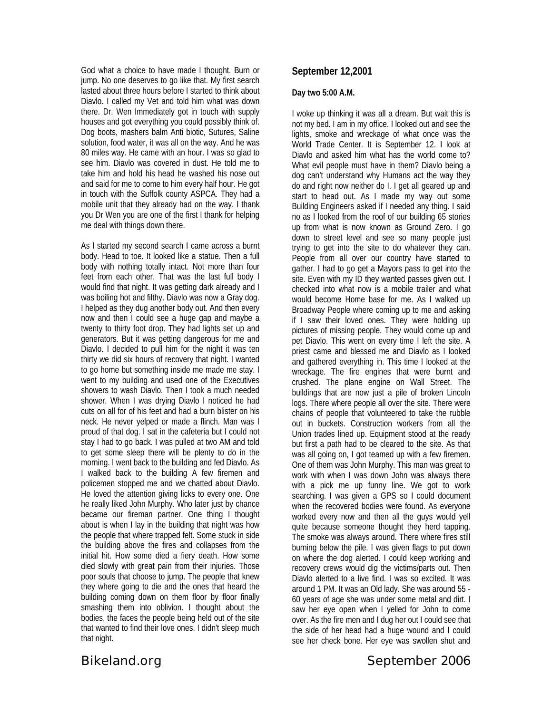God what a choice to have made I thought. Burn or jump. No one deserves to go like that. My first search lasted about three hours before I started to think about Diavlo. I called my Vet and told him what was down there. Dr. Wen Immediately got in touch with supply houses and got everything you could possibly think of. Dog boots, mashers balm Anti biotic, Sutures, Saline solution, food water, it was all on the way. And he was 80 miles way. He came with an hour. I was so glad to see him. Diavlo was covered in dust. He told me to take him and hold his head he washed his nose out and said for me to come to him every half hour. He got in touch with the Suffolk county ASPCA. They had a mobile unit that they already had on the way. I thank you Dr Wen you are one of the first I thank for helping me deal with things down there.

As I started my second search I came across a burnt body. Head to toe. It looked like a statue. Then a full body with nothing totally intact. Not more than four feet from each other. That was the last full body I would find that night. It was getting dark already and I was boiling hot and filthy. Diavlo was now a Gray dog. I helped as they dug another body out. And then every now and then I could see a huge gap and maybe a twenty to thirty foot drop. They had lights set up and generators. But it was getting dangerous for me and Diavlo. I decided to pull him for the night it was ten thirty we did six hours of recovery that night. I wanted to go home but something inside me made me stay. I went to my building and used one of the Executives showers to wash Diavlo. Then I took a much needed shower. When I was drying Diavlo I noticed he had cuts on all for of his feet and had a burn blister on his neck. He never yelped or made a flinch. Man was I proud of that dog. I sat in the cafeteria but I could not stay I had to go back. I was pulled at two AM and told to get some sleep there will be plenty to do in the morning. I went back to the building and fed Diavlo. As I walked back to the building A few firemen and policemen stopped me and we chatted about Diavlo. He loved the attention giving licks to every one. One he really liked John Murphy. Who later just by chance became our fireman partner. One thing I thought about is when I lay in the building that night was how the people that where trapped felt. Some stuck in side the building above the fires and collapses from the initial hit. How some died a fiery death. How some died slowly with great pain from their injuries. Those poor souls that choose to jump. The people that knew they where going to die and the ones that heard the building coming down on them floor by floor finally smashing them into oblivion. I thought about the bodies, the faces the people being held out of the site that wanted to find their love ones. I didn't sleep much that night.

**September 12,2001** 

#### **Day two 5:00 A.M.**

I woke up thinking it was all a dream. But wait this is not my bed. I am in my office. I looked out and see the lights, smoke and wreckage of what once was the World Trade Center. It is September 12. I look at Diavlo and asked him what has the world come to? What evil people must have in them? Diavlo being a dog can't understand why Humans act the way they do and right now neither do I. I get all geared up and start to head out. As I made my way out some Building Engineers asked if I needed any thing. I said no as I looked from the roof of our building 65 stories up from what is now known as Ground Zero. I go down to street level and see so many people just trying to get into the site to do whatever they can. People from all over our country have started to gather. I had to go get a Mayors pass to get into the site. Even with my ID they wanted passes given out. I checked into what now is a mobile trailer and what would become Home base for me. As I walked up Broadway People where coming up to me and asking if I saw their loved ones. They were holding up pictures of missing people. They would come up and pet Diavlo. This went on every time I left the site. A priest came and blessed me and Diavlo as I looked and gathered everything in. This time I looked at the wreckage. The fire engines that were burnt and crushed. The plane engine on Wall Street. The buildings that are now just a pile of broken Lincoln logs. There where people all over the site. There were chains of people that volunteered to take the rubble out in buckets. Construction workers from all the Union trades lined up. Equipment stood at the ready but first a path had to be cleared to the site. As that was all going on, I got teamed up with a few firemen. One of them was John Murphy. This man was great to work with when I was down John was always there with a pick me up funny line. We got to work searching. I was given a GPS so I could document when the recovered bodies were found. As everyone worked every now and then all the guys would yell quite because someone thought they herd tapping. The smoke was always around. There where fires still burning below the pile. I was given flags to put down on where the dog alerted. I could keep working and recovery crews would dig the victims/parts out. Then Diavlo alerted to a live find. I was so excited. It was around 1 PM. It was an Old lady. She was around 55 - 60 years of age she was under some metal and dirt. I saw her eye open when I yelled for John to come over. As the fire men and I dug her out I could see that the side of her head had a huge wound and I could see her check bone. Her eye was swollen shut and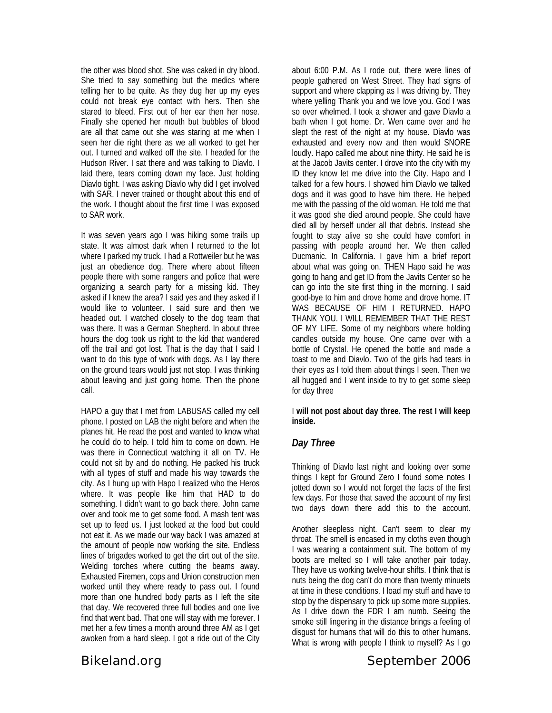the other was blood shot. She was caked in dry blood. She tried to say something but the medics where telling her to be quite. As they dug her up my eyes could not break eye contact with hers. Then she stared to bleed. First out of her ear then her nose. Finally she opened her mouth but bubbles of blood are all that came out she was staring at me when I seen her die right there as we all worked to get her out. I turned and walked off the site. I headed for the Hudson River. I sat there and was talking to Diavlo. I laid there, tears coming down my face. Just holding Diavlo tight. I was asking Diavlo why did I get involved with SAR. I never trained or thought about this end of the work. I thought about the first time I was exposed to SAR work.

It was seven years ago I was hiking some trails up state. It was almost dark when I returned to the lot where I parked my truck. I had a Rottweiler but he was just an obedience dog. There where about fifteen people there with some rangers and police that were organizing a search party for a missing kid. They asked if I knew the area? I said yes and they asked if I would like to volunteer. I said sure and then we headed out. I watched closely to the dog team that was there. It was a German Shepherd. In about three hours the dog took us right to the kid that wandered off the trail and got lost. That is the day that I said I want to do this type of work with dogs. As I lay there on the ground tears would just not stop. I was thinking about leaving and just going home. Then the phone call.

HAPO a guy that I met from LABUSAS called my cell phone. I posted on LAB the night before and when the planes hit. He read the post and wanted to know what he could do to help. I told him to come on down. He was there in Connecticut watching it all on TV. He could not sit by and do nothing. He packed his truck with all types of stuff and made his way towards the city. As I hung up with Hapo I realized who the Heros where. It was people like him that HAD to do something. I didn't want to go back there. John came over and took me to get some food. A mash tent was set up to feed us. I just looked at the food but could not eat it. As we made our way back I was amazed at the amount of people now working the site. Endless lines of brigades worked to get the dirt out of the site. Welding torches where cutting the beams away. Exhausted Firemen, cops and Union construction men worked until they where ready to pass out. I found more than one hundred body parts as I left the site that day. We recovered three full bodies and one live find that went bad. That one will stay with me forever. I met her a few times a month around three AM as I get awoken from a hard sleep. I got a ride out of the City

about 6:00 P.M. As I rode out, there were lines of people gathered on West Street. They had signs of support and where clapping as I was driving by. They where yelling Thank you and we love you. God I was so over whelmed. I took a shower and gave Diavlo a bath when I got home. Dr. Wen came over and he slept the rest of the night at my house. Diavlo was exhausted and every now and then would SNORE loudly. Hapo called me about nine thirty. He said he is at the Jacob Javits center. I drove into the city with my ID they know let me drive into the City. Hapo and I talked for a few hours. I showed him Diavlo we talked dogs and it was good to have him there. He helped me with the passing of the old woman. He told me that it was good she died around people. She could have died all by herself under all that debris. Instead she fought to stay alive so she could have comfort in passing with people around her. We then called Ducmanic. In California. I gave him a brief report about what was going on. THEN Hapo said he was going to hang and get ID from the Javits Center so he can go into the site first thing in the morning. I said good-bye to him and drove home and drove home. IT WAS BECAUSE OF HIM I RETURNED. HAPO THANK YOU. I WILL REMEMBER THAT THE REST OF MY LIFE. Some of my neighbors where holding candles outside my house. One came over with a bottle of Crystal. He opened the bottle and made a toast to me and Diavlo. Two of the girls had tears in their eyes as I told them about things I seen. Then we all hugged and I went inside to try to get some sleep for day three

I **will not post about day three. The rest I will keep inside.** 

## *Day Three*

Thinking of Diavlo last night and looking over some things I kept for Ground Zero I found some notes I jotted down so I would not forget the facts of the first few days. For those that saved the account of my first two days down there add this to the account.

Another sleepless night. Can't seem to clear my throat. The smell is encased in my cloths even though I was wearing a containment suit. The bottom of my boots are melted so I will take another pair today. They have us working twelve-hour shifts. I think that is nuts being the dog can't do more than twenty minuets at time in these conditions. I load my stuff and have to stop by the dispensary to pick up some more supplies. As I drive down the FDR I am numb. Seeing the smoke still lingering in the distance brings a feeling of disgust for humans that will do this to other humans. What is wrong with people I think to myself? As I go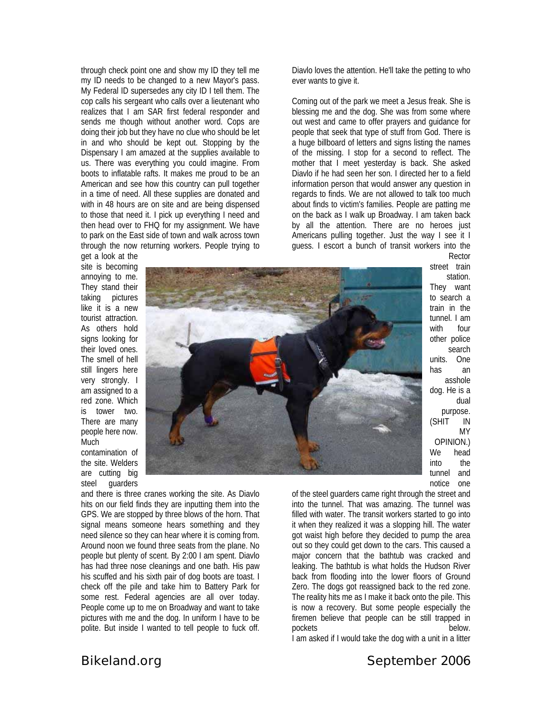through check point one and show my ID they tell me my ID needs to be changed to a new Mayor's pass. My Federal ID supersedes any city ID I tell them. The cop calls his sergeant who calls over a lieutenant who realizes that I am SAR first federal responder and sends me though without another word. Cops are doing their job but they have no clue who should be let in and who should be kept out. Stopping by the Dispensary I am amazed at the supplies available to us. There was everything you could imagine. From boots to inflatable rafts. It makes me proud to be an American and see how this country can pull together in a time of need. All these supplies are donated and with in 48 hours are on site and are being dispensed to those that need it. I pick up everything I need and then head over to FHQ for my assignment. We have to park on the East side of town and walk across town through the now returning workers. People trying to

Diavlo loves the attention. He'll take the petting to who ever wants to give it.

Coming out of the park we meet a Jesus freak. She is blessing me and the dog. She was from some where out west and came to offer prayers and guidance for people that seek that type of stuff from God. There is a huge billboard of letters and signs listing the names of the missing. I stop for a second to reflect. The mother that I meet yesterday is back. She asked Diavlo if he had seen her son. I directed her to a field information person that would answer any question in regards to finds. We are not allowed to talk too much about finds to victim's families. People are patting me on the back as I walk up Broadway. I am taken back by all the attention. There are no heroes just Americans pulling together. Just the way I see it I guess. I escort a bunch of transit workers into the

get a look at the site is becoming annoying to me. They stand their taking pictures like it is a new tourist attraction. As others hold signs looking for their loved ones. The smell of hell still lingers here very strongly. I am assigned to a red zone. Which is tower two. There are many people here now. Much contamination of

the site. Welders are cutting big steel guarders



street train station. They want to search a train in the tunnel. I am with four other police search units. One has an asshole dog. He is a dual purpose. (SHIT IN MY OPINION.) We head into the tunnel and notice one

Rector

and there is three cranes working the site. As Diavlo hits on our field finds they are inputting them into the GPS. We are stopped by three blows of the horn. That signal means someone hears something and they need silence so they can hear where it is coming from. Around noon we found three seats from the plane. No people but plenty of scent. By 2:00 I am spent. Diavlo has had three nose cleanings and one bath. His paw his scuffed and his sixth pair of dog boots are toast. I check off the pile and take him to Battery Park for some rest. Federal agencies are all over today. People come up to me on Broadway and want to take pictures with me and the dog. In uniform I have to be polite. But inside I wanted to tell people to fuck off.

of the steel guarders came right through the street and into the tunnel. That was amazing. The tunnel was filled with water. The transit workers started to go into it when they realized it was a slopping hill. The water got waist high before they decided to pump the area out so they could get down to the cars. This caused a major concern that the bathtub was cracked and leaking. The bathtub is what holds the Hudson River back from flooding into the lower floors of Ground Zero. The dogs got reassigned back to the red zone. The reality hits me as I make it back onto the pile. This is now a recovery. But some people especially the firemen believe that people can be still trapped in pockets below.

I am asked if I would take the dog with a unit in a litter

# *Bikeland.org* September 2006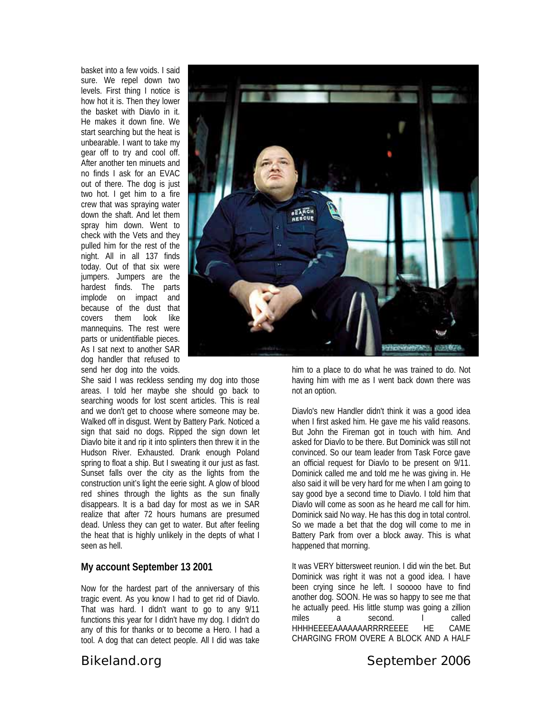basket into a few voids. I said sure. We repel down two levels. First thing I notice is how hot it is. Then they lower the basket with Diavlo in it. He makes it down fine. We start searching but the heat is unbearable. I want to take my gear off to try and cool off. After another ten minuets and no finds I ask for an EVAC out of there. The dog is just two hot. I get him to a fire crew that was spraying water down the shaft. And let them spray him down. Went to check with the Vets and they pulled him for the rest of the night. All in all 137 finds today. Out of that six were jumpers. Jumpers are the hardest finds. The parts implode on impact and because of the dust that covers them look like mannequins. The rest were parts or unidentifiable pieces. As I sat next to another SAR dog handler that refused to send her dog into the voids.

She said I was reckless sending my dog into those areas. I told her maybe she should go back to searching woods for lost scent articles. This is real and we don't get to choose where someone may be. Walked off in disgust. Went by Battery Park. Noticed a sign that said no dogs. Ripped the sign down let Diavlo bite it and rip it into splinters then threw it in the Hudson River. Exhausted. Drank enough Poland spring to float a ship. But I sweating it our just as fast. Sunset falls over the city as the lights from the construction unit's light the eerie sight. A glow of blood red shines through the lights as the sun finally disappears. It is a bad day for most as we in SAR realize that after 72 hours humans are presumed dead. Unless they can get to water. But after feeling the heat that is highly unlikely in the depts of what I seen as hell.

### **My account September 13 2001**

Now for the hardest part of the anniversary of this tragic event. As you know I had to get rid of Diavlo. That was hard. I didn't want to go to any 9/11 functions this year for I didn't have my dog. I didn't do any of this for thanks or to become a Hero. I had a tool. A dog that can detect people. All I did was take



him to a place to do what he was trained to do. Not having him with me as I went back down there was not an option.

Diavlo's new Handler didn't think it was a good idea when I first asked him. He gave me his valid reasons. But John the Fireman got in touch with him. And asked for Diavlo to be there. But Dominick was still not convinced. So our team leader from Task Force gave an official request for Diavlo to be present on 9/11. Dominick called me and told me he was giving in. He also said it will be very hard for me when I am going to say good bye a second time to Diavlo. I told him that Diavlo will come as soon as he heard me call for him. Dominick said No way. He has this dog in total control. So we made a bet that the dog will come to me in Battery Park from over a block away. This is what happened that morning.

It was VERY bittersweet reunion. I did win the bet. But Dominick was right it was not a good idea. I have been crying since he left. I sooooo have to find another dog. SOON. He was so happy to see me that he actually peed. His little stump was going a zillion miles a second. I called HHHHEEEEAAAAAAARRRREEEE HE CAME CHARGING FROM OVERE A BLOCK AND A HALF